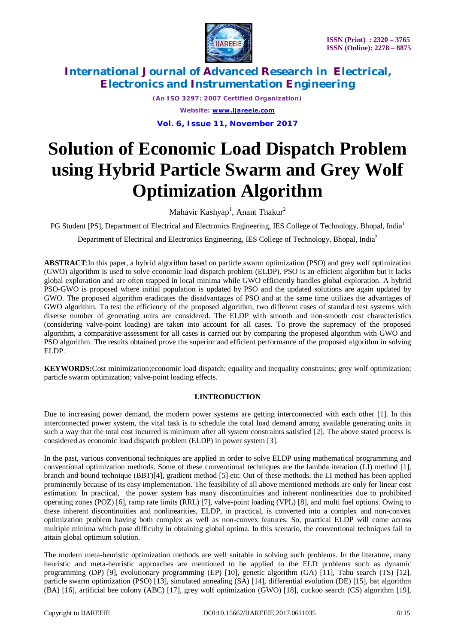

*(An ISO 3297: 2007 Certified Organization) Website: [www.ijareeie.com](http://www.ijareeie.com)* **Vol. 6, Issue 11, November 2017**

# **Solution of Economic Load Dispatch Problem using Hybrid Particle Swarm and Grey Wolf Optimization Algorithm**

Mahavir Kashyap<sup>1</sup>, Anant Thakur<sup>2</sup>

PG Student [PS], Department of Electrical and Electronics Engineering, IES College of Technology, Bhopal, India<sup>1</sup>

Department of Electrical and Electronics Engineering, IES College of Technology, Bhopal, India<sup>2</sup>

**ABSTRACT**:In this paper, a hybrid algorithm based on particle swarm optimization (PSO) and grey wolf optimization (GWO) algorithm is used to solve economic load dispatch problem (ELDP). PSO is an efficient algorithm but it lacks global exploration and are often trapped in local minima while GWO efficiently handles global exploration. A hybrid PSO-GWO is proposed where initial population is updated by PSO and the updated solutions are again updated by GWO. The proposed algorithm eradicates the disadvantages of PSO and at the same time utilizes the advantages of GWO algorithm. To test the efficiency of the proposed algorithm, two different cases of standard test systems with diverse number of generating units are considered. The ELDP with smooth and non-smooth cost characteristics (considering valve-point loading) are taken into account for all cases. To prove the supremacy of the proposed algorithm, a comparative assessment for all cases is carried out by comparing the proposed algorithm with GWO and PSO algorithm. The results obtained prove the superior and efficient performance of the proposed algorithm in solving ELDP.

**KEYWORDS:**Cost minimization;economic load dispatch; equality and inequality constraints; grey wolf optimization; particle swarm optimization; valve-point loading effects.

### **I.INTRODUCTION**

Due to increasing power demand, the modern power systems are getting interconnected with each other [1]. In this interconnected power system, the vital task is to schedule the total load demand among available generating units in such a way that the total cost incurred is minimum after all system constraints satisfied [2]. The above stated process is considered as economic load dispatch problem (ELDP) in power system [3].

In the past, various conventional techniques are applied in order to solve ELDP using mathematical programming and conventional optimization methods. Some of these conventional techniques are the lambda iteration (LI) method [1], branch and bound technique (BBT)[4], gradient method [5] etc. Out of these methods, the LI method has been applied prominently because of its easy implementation. The feasibility of all above mentioned methods are only for linear cost estimation. In practical, the power system has many discontinuities and inherent nonlinearities due to prohibited operating zones (POZ) [6], ramp rate limits (RRL) [7], valve-point loading (VPL) [8], and multi fuel options. Owing to these inherent discontinuities and nonlinearities, ELDP, in practical, is converted into a complex and non-convex optimization problem having both complex as well as non-convex features. So, practical ELDP will come across multiple minima which pose difficulty in obtaining global optima. In this scenario, the conventional techniques fail to attain global optimum solution.

The modern meta-heuristic optimization methods are well suitable in solving such problems. In the literature, many heuristic and meta-heuristic approaches are mentioned to be applied to the ELD problems such as dynamic programming (DP) [9], evolutionary programming (EP) [10], genetic algorithm (GA) [11], Tabu search (TS) [12], particle swarm optimization (PSO) [13], simulated annealing (SA) [14], differential evolution (DE) [15], bat algorithm (BA) [16], artificial bee colony (ABC) [17], grey wolf optimization (GWO) [18], cuckoo search (CS) algorithm [19],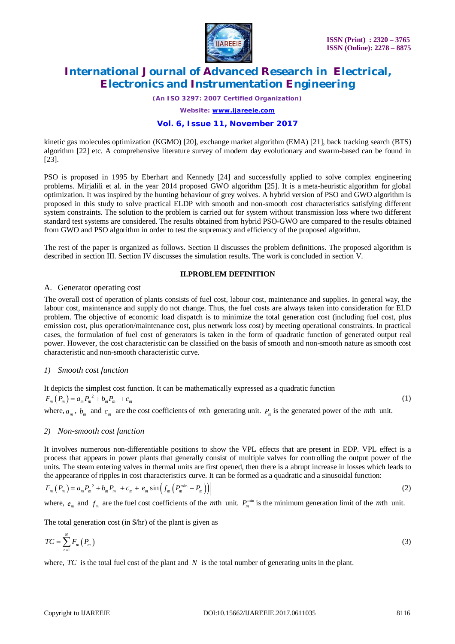

*(An ISO 3297: 2007 Certified Organization)*

*Website: [www.ijareeie.com](http://www.ijareeie.com)*

#### **Vol. 6, Issue 11, November 2017**

kinetic gas molecules optimization (KGMO) [20], exchange market algorithm (EMA) [21], back tracking search (BTS) algorithm [22] etc. A comprehensive literature survey of modern day evolutionary and swarm-based can be found in [23].

PSO is proposed in 1995 by Eberhart and Kennedy [24] and successfully applied to solve complex engineering problems. Mirjalili et al. in the year 2014 proposed GWO algorithm [25]. It is a meta-heuristic algorithm for global optimization. It was inspired by the hunting behaviour of grey wolves. A hybrid version of PSO and GWO algorithm is proposed in this study to solve practical ELDP with smooth and non-smooth cost characteristics satisfying different system constraints. The solution to the problem is carried out for system without transmission loss where two different standard test systems are considered. The results obtained from hybrid PSO-GWO are compared to the results obtained from GWO and PSO algorithm in order to test the supremacy and efficiency of the proposed algorithm.

The rest of the paper is organized as follows. Section II discusses the problem definitions. The proposed algorithm is described in section III. Section IV discusses the simulation results. The work is concluded in section V.

### **II.PROBLEM DEFINITION**

#### A. Generator operating cost

The overall cost of operation of plants consists of fuel cost, labour cost, maintenance and supplies. In general way, the labour cost, maintenance and supply do not change. Thus, the fuel costs are always taken into consideration for ELD problem. The objective of economic load dispatch is to minimize the total generation cost (including fuel cost, plus emission cost, plus operation/maintenance cost, plus network loss cost) by meeting operational constraints. In practical cases, the formulation of fuel cost of generators is taken in the form of quadratic function of generated output real power. However, the cost characteristic can be classified on the basis of smooth and non-smooth nature as smooth cost characteristic and non-smooth characteristic curve.

#### *1) Smooth cost function*

It depicts the simplest cost function. It can be mathematically expressed as a quadratic function  $F_m(P_m) = a_m P_m^2 + b_m P_m + c_m$  (1) where,  $a_m$ ,  $b_m$  and  $c_m$  are the cost coefficients of *m*th generating unit.  $P_m$  is the generated power of the *mth* unit.

#### *2) Non-smooth cost function*

It involves numerous non-differentiable positions to show the VPL effects that are present in EDP. VPL effect is a process that appears in power plants that generally consist of multiple valves for controlling the output power of the units. The steam entering valves in thermal units are first opened, then there is a abrupt increase in losses which leads to the appearance of ripples in cost characteristics curve. It can be formed as a quadratic and a sinusoidal function:

$$
F_m(P_m) = a_m P_m^2 + b_m P_m + c_m + \left| e_m \sin \left( f_m \left( P_m^{\min} - P_m \right) \right) \right| \tag{2}
$$

where,  $e_m$  and  $f_m$  are the fuel cost coefficients of the *m*th unit.  $P_m^{\min}$  is the minimum generation limit of the *mth* unit.

The total generation cost (in \$/hr) of the plant is given as

$$
TC = \sum_{r=1}^{N} F_m(P_m)
$$
\n(3)

where,  $TC$  is the total fuel cost of the plant and  $N$  is the total number of generating units in the plant.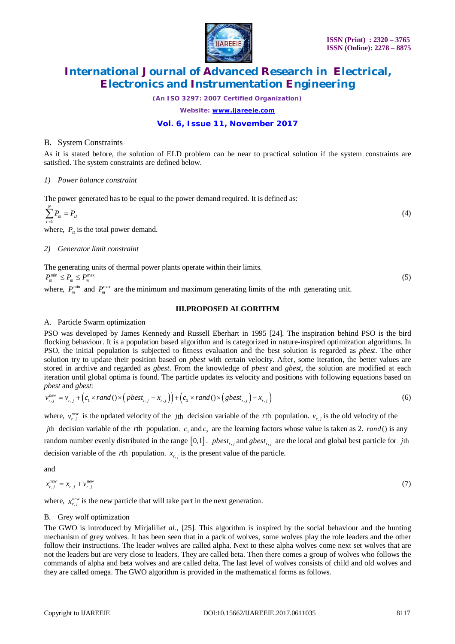

*(An ISO 3297: 2007 Certified Organization)*

*Website: [www.ijareeie.com](http://www.ijareeie.com)*

### **Vol. 6, Issue 11, November 2017**

#### B. System Constraints

As it is stated before, the solution of ELD problem can be near to practical solution if the system constraints are satisfied. The system constraints are defined below.

*1) Power balance constraint*

The power generated has to be equal to the power demand required. It is defined as:

$$
\sum_{r=1}^{N} P_m = P_D \tag{4}
$$

where,  $P<sub>D</sub>$  is the total power demand.

#### *2) Generator limit constraint*

The generating units of thermal power plants operate within their limits.  $P_{\rm m}^{\rm min} \leq P_{\rm m} \leq P_{\rm m}^{\rm max}$  (5)

where,  $P_m^{\text{min}}$  and  $P_m^{\text{max}}$  are the minimum and maximum generating limits of the *m*th generating unit.

#### **III.PROPOSED ALGORITHM**

#### A. Particle Swarm optimization

PSO was developed by James Kennedy and Russell Eberhart in 1995 [24]. The inspiration behind PSO is the bird flocking behaviour. It is a population based algorithm and is categorized in nature-inspired optimization algorithms. In PSO, the initial population is subjected to fitness evaluation and the best solution is regarded as *pbest*. The other solution try to update their position based on *pbest* with certain velocity. After, some iteration, the better values are stored in archive and regarded as *gbest*. From the knowledge of *pbest* and *gbest*, the solution are modified at each iteration until global optima is found. The particle updates its velocity and positions with following equations based on *pbest* and *gbest*:

$$
v_{r,j}^{new} = v_{r,j} + \left(c_1 \times rand \left(\right) \times \left( \text{pbest}_{r,j} - x_{r,j} \right) \right) + \left(c_2 \times rand \left(\right) \times \left( \text{gbest}_{r,j} \right) - x_{r,j} \right) \tag{6}
$$

where,  $v_{r,j}^{new}$  is the updated velocity of the *j*th decision variable of the *r*th population.  $v_{r,j}$  is the old velocity of the *j*th decision variable of the *r*th population.  $c_1$  and  $c_2$  are the learning factors whose value is taken as 2. *rand* () is any random number evenly distributed in the range  $[0,1]$ . *pbest<sub>r,j</sub>* and *gbest<sub>r,j</sub>* are the local and global best particle for *j*th decision variable of the *r*th population.  $x_{r,j}$  is the present value of the particle.

and

$$
x_{r,j}^{new} = x_{r,j} + v_{r,j}^{new} \tag{7}
$$

where,  $x_{r,j}^{\text{new}}$  is the new particle that will take part in the next generation.

#### B. Grey wolf optimization

The GWO is introduced by Mirjalili*et al.*, [25]. This algorithm is inspired by the social behaviour and the hunting mechanism of grey wolves. It has been seen that in a pack of wolves, some wolves play the role leaders and the other follow their instructions. The leader wolves are called alpha. Next to these alpha wolves come next set wolves that are not the leaders but are very close to leaders. They are called beta. Then there comes a group of wolves who follows the commands of alpha and beta wolves and are called delta. The last level of wolves consists of child and old wolves and they are called omega. The GWO algorithm is provided in the mathematical forms as follows.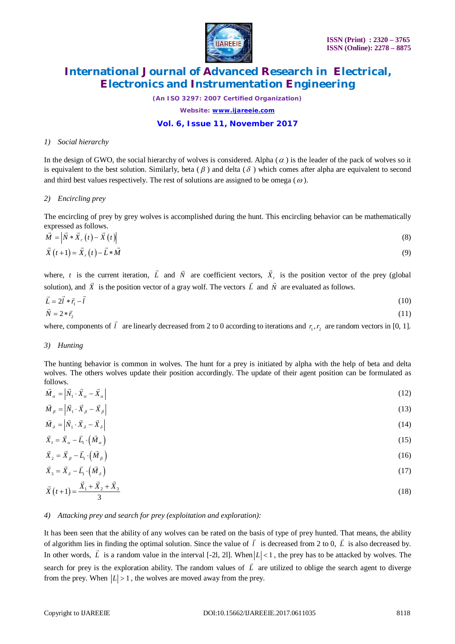

*(An ISO 3297: 2007 Certified Organization) Website: [www.ijareeie.com](http://www.ijareeie.com)*

### **Vol. 6, Issue 11, November 2017**

#### *1) Social hierarchy*

In the design of GWO, the social hierarchy of wolves is considered. Alpha  $(\alpha)$  is the leader of the pack of wolves so it is equivalent to the best solution. Similarly, beta ( $\beta$ ) and delta ( $\delta$ ) which comes after alpha are equivalent to second and third best values respectively. The rest of solutions are assigned to be omega ( $\omega$ ).

#### *2) Encircling prey*

The encircling of prey by grey wolves is accomplished during the hunt. This encircling behavior can be mathematically expressed as follows.

$$
\vec{M} = \left| \vec{N} * \vec{X}_r(t) - \vec{X}(t) \right|
$$
  
\n
$$
\vec{X}(t+1) = \vec{X}_r(t) - \vec{L} * \vec{M}
$$
\n(8)

where, *t* is the current iteration, *L*  $\overline{\phantom{a}}$ and  $\vec{N}$  are coefficient vectors,  $\vec{X}_r$  $\overline{\phantom{a}}$ is the position vector of the prey (global solution), and *X*  $\frac{1}{2}$ is the position vector of a gray wolf. The vectors *L* l<br>F and  $\overrightarrow{N}$  are evaluated as follows.

$$
\vec{L} = 2\vec{l} * \vec{r_1} - \vec{l} \tag{10}
$$
\n
$$
\vec{N} = 2 * \vec{r_2} \tag{11}
$$

where, components of  $\vec{l}$  are linearly decreased from 2 to 0 according to iterations and  $r_1, r_2$  are random vectors in [0, 1].

#### *3) Hunting*

The hunting behavior is common in wolves. The hunt for a prey is initiated by alpha with the help of beta and delta wolves. The others wolves update their position accordingly. The update of their agent position can be formulated as follows.

$$
\vec{M}_\alpha = \begin{vmatrix} \vec{N}_1 \cdot \vec{X}_\alpha - \vec{X}_\alpha \end{vmatrix} \tag{12}
$$

 $\overline{M}_{\beta} = |N_1 \cdot X_{\beta} - X_{\beta}|$ (13) → 1→ → →  $(14)$ 

$$
M_{\delta} = |N_1 \cdot X_{\delta} - X_{\delta}| \tag{14}
$$
  

$$
\vec{X}_1 = \vec{X}_\alpha - \vec{L}_1 \cdot (\vec{M}_\alpha)
$$

$$
\vec{X}_2 = \vec{X}_\beta - \vec{L}_1 \cdot \left(\vec{M}_\beta\right) \tag{16}
$$

$$
\vec{X}_3 = \vec{X}_\delta - \vec{L}_1 \cdot (\vec{M}_\delta) \tag{17}
$$

$$
\vec{X}(t+1) = \frac{\vec{X}_1 + \vec{X}_2 + \vec{X}_3}{3}
$$
\n(18)

#### *4) Attacking prey and search for prey (exploitation and exploration):*

It has been seen that the ability of any wolves can be rated on the basis of type of prey hunted. That means, the ability of algorithm lies in finding the optimal solution. Since the value of  $\vec{l}$  is decreased from 2 to 0,  $\vec{L}$  is also decreased by. In other words, L is a random value in the interval  $[-2]$ , 2l. When  $|L| < 1$ , the prey has to be attacked by wolves. The search for prey is the exploration ability. The random values of *L*  $\overline{\phantom{a}}$ are utilized to oblige the search agent to diverge from the prey. When  $|L| > 1$ , the wolves are moved away from the prey.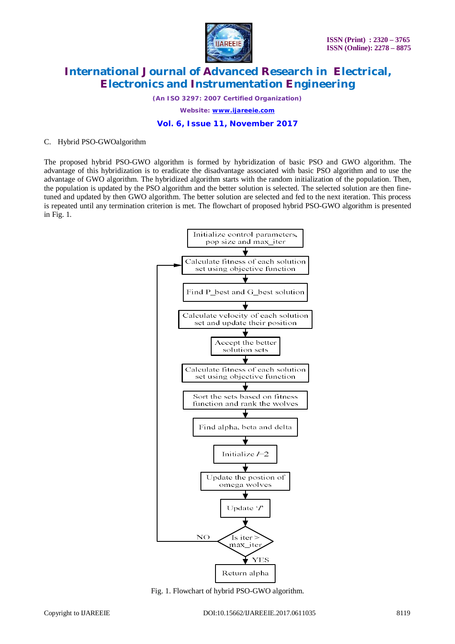

*(An ISO 3297: 2007 Certified Organization) Website: [www.ijareeie.com](http://www.ijareeie.com)*

### **Vol. 6, Issue 11, November 2017**

#### C. Hybrid PSO-GWOalgorithm

The proposed hybrid PSO-GWO algorithm is formed by hybridization of basic PSO and GWO algorithm. The advantage of this hybridization is to eradicate the disadvantage associated with basic PSO algorithm and to use the advantage of GWO algorithm. The hybridized algorithm starts with the random initialization of the population. Then, the population is updated by the PSO algorithm and the better solution is selected. The selected solution are then finetuned and updated by then GWO algorithm. The better solution are selected and fed to the next iteration. This process is repeated until any termination criterion is met. The flowchart of proposed hybrid PSO-GWO algorithm is presented in Fig. 1.



Fig. 1. Flowchart of hybrid PSO-GWO algorithm.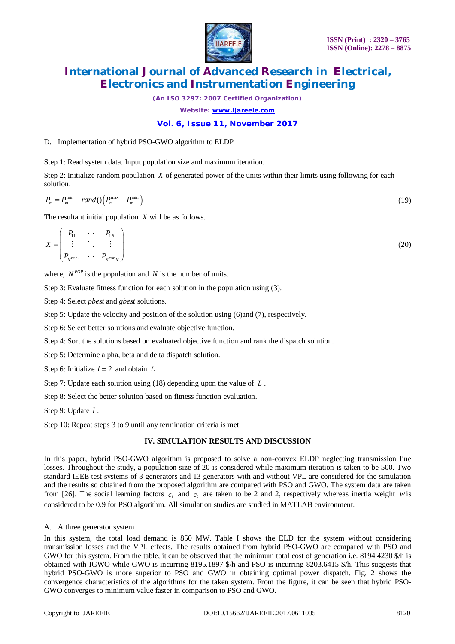

*(An ISO 3297: 2007 Certified Organization) Website: [www.ijareeie.com](http://www.ijareeie.com)*

### **Vol. 6, Issue 11, November 2017**

#### D. Implementation of hybrid PSO-GWO algorithm to ELDP

Step 1: Read system data. Input population size and maximum iteration.

Step 2: Initialize random population *X* of generated power of the units within their limits using following for each solution.

$$
P_m = P_m^{\min} + rand \left( \left( P_m^{\max} - P_m^{\min} \right) \right) \tag{19}
$$

The resultant initial population *X* will be as follows.

$$
X = \begin{pmatrix} P_{11} & \cdots & P_{1N} \\ \vdots & \ddots & \vdots \\ P_{N^{POP}1} & \cdots & P_{N^{POP}N} \end{pmatrix}
$$
 (20)

where,  $N^{pop}$  is the population and  $N$  is the number of units.

Step 3: Evaluate fitness function for each solution in the population using (3).

Step 4: Select *pbest* and *gbest* solutions.

Step 5: Update the velocity and position of the solution using (6)and (7), respectively.

Step 6: Select better solutions and evaluate objective function.

Step 4: Sort the solutions based on evaluated objective function and rank the dispatch solution.

Step 5: Determine alpha, beta and delta dispatch solution.

Step 6: Initialize  $l = 2$  and obtain  $L$ .

Step 7: Update each solution using (18) depending upon the value of *L* .

Step 8: Select the better solution based on fitness function evaluation.

Step 9: Update *l* .

Step 10: Repeat steps 3 to 9 until any termination criteria is met.

#### **IV. SIMULATION RESULTS AND DISCUSSION**

In this paper, hybrid PSO-GWO algorithm is proposed to solve a non-convex ELDP neglecting transmission line losses. Throughout the study, a population size of 20 is considered while maximum iteration is taken to be 500. Two standard IEEE test systems of 3 generators and 13 generators with and without VPL are considered for the simulation and the results so obtained from the proposed algorithm are compared with PSO and GWO. The system data are taken from [26]. The social learning factors  $c_1$  and  $c_2$  are taken to be 2 and 2, respectively whereas inertia weight *w* is considered to be 0.9 for PSO algorithm. All simulation studies are studied in MATLAB environment.

A. A three generator system

In this system, the total load demand is 850 MW. Table I shows the ELD for the system without considering transmission losses and the VPL effects. The results obtained from hybrid PSO-GWO are compared with PSO and GWO for this system. From the table, it can be observed that the minimum total cost of generation i.e. 8194.4230 \$/h is obtained with IGWO while GWO is incurring 8195.1897 \$/h and PSO is incurring 8203.6415 \$/h. This suggests that hybrid PSO-GWO is more superior to PSO and GWO in obtaining optimal power dispatch. Fig. 2 shows the convergence characteristics of the algorithms for the taken system. From the figure, it can be seen that hybrid PSO-GWO converges to minimum value faster in comparison to PSO and GWO.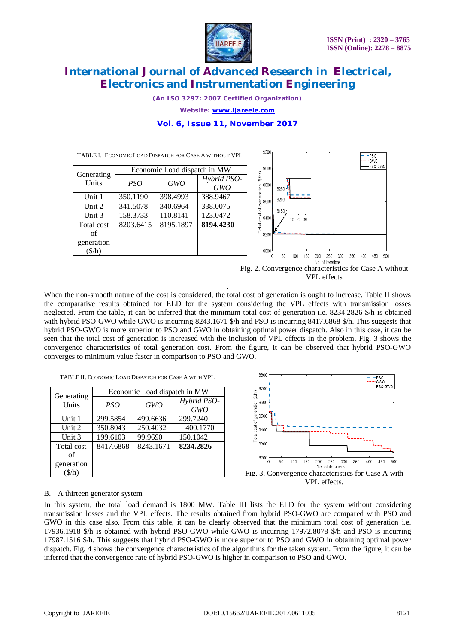.PSO GWO PSO-GWO

350 400 450

500



### **International Journal of Advanced Research in Electrical, Electronics and Instrumentation Engineering**

*(An ISO 3297: 2007 Certified Organization)*

*Website: [www.ijareeie.com](http://www.ijareeie.com)*

### **Vol. 6, Issue 11, November 2017**

9200

TABLE I. ECONOMIC LOAD DISPATCH FOR CASE A WITHOUT VPL

| Economic Load dispatch in MW |           |            |                           | 9000                       |                                       |
|------------------------------|-----------|------------|---------------------------|----------------------------|---------------------------------------|
| Generating<br>Units          | PSO       | <b>GWO</b> | Hybrid PSO-<br><b>GWO</b> | (§/hr)<br>8800             | 8250                                  |
| Unit 1                       | 350.1190  | 398.4993   | 388.9467                  | cost of generation<br>8600 | 8200                                  |
| Unit 2                       | 341.5078  | 340.6964   | 338.0075                  |                            | 8150                                  |
| Unit 3                       | 158.3733  | 110.8141   | 123.0472                  | 8400                       | 10 20 30                              |
| Total cost                   | 8203.6415 | 8195.1897  | 8194.4230                 | Total                      |                                       |
| of                           |           |            |                           | 8200                       |                                       |
| generation                   |           |            |                           |                            |                                       |
| $(\frac{\sqrt{h}}{h})$       |           |            |                           | 8000                       | 300<br>250<br>50<br>200<br>150<br>100 |

No. of iterations Fig. 2. Convergence characteristics for Case A without VPL effects

When the non-smooth nature of the cost is considered, the total cost of generation is ought to increase. Table II shows the comparative results obtained for ELD for the system considering the VPL effects with transmission losses neglected. From the table, it can be inferred that the minimum total cost of generation i.e. 8234.2826 \$/h is obtained with hybrid PSO-GWO while GWO is incurring 8243.1671 \$/h and PSO is incurring 8417.6868 \$/h. This suggests that hybrid PSO-GWO is more superior to PSO and GWO in obtaining optimal power dispatch. Also in this case, it can be seen that the total cost of generation is increased with the inclusion of VPL effects in the problem. Fig. 3 shows the convergence characteristics of total generation cost. From the figure, it can be observed that hybrid PSO-GWO converges to minimum value faster in comparison to PSO and GWO.

.

TABLE II. ECONOMIC LOAD DISPATCH FOR CASE A WITH VPL

| Generating | Economic Load dispatch in MW |            |                           |  |
|------------|------------------------------|------------|---------------------------|--|
| Units      | PSO                          | <b>GWO</b> | Hybrid PSO-<br><b>GWO</b> |  |
| Unit 1     | 299.5854                     | 499.6636   | 299.7240                  |  |
| Unit 2     | 350.8043                     | 250.4032   | 400.1770                  |  |
| Unit 3     | 199.6103                     | 99.9690    | 150.1042                  |  |
| Total cost | 8417.6868                    | 8243.1671  | 8234.2826                 |  |
| of         |                              |            |                           |  |
| generation |                              |            |                           |  |
| $(\$/h)$   |                              |            |                           |  |



#### B. A thirteen generator system

In this system, the total load demand is 1800 MW. Table III lists the ELD for the system without considering transmission losses and the VPL effects. The results obtained from hybrid PSO-GWO are compared with PSO and GWO in this case also. From this table, it can be clearly observed that the minimum total cost of generation i.e. 17936.1918 \$/h is obtained with hybrid PSO-GWO while GWO is incurring 17972.8078 \$/h and PSO is incurring 17987.1516 \$/h. This suggests that hybrid PSO-GWO is more superior to PSO and GWO in obtaining optimal power dispatch. Fig. 4 shows the convergence characteristics of the algorithms for the taken system. From the figure, it can be inferred that the convergence rate of hybrid PSO-GWO is higher in comparison to PSO and GWO.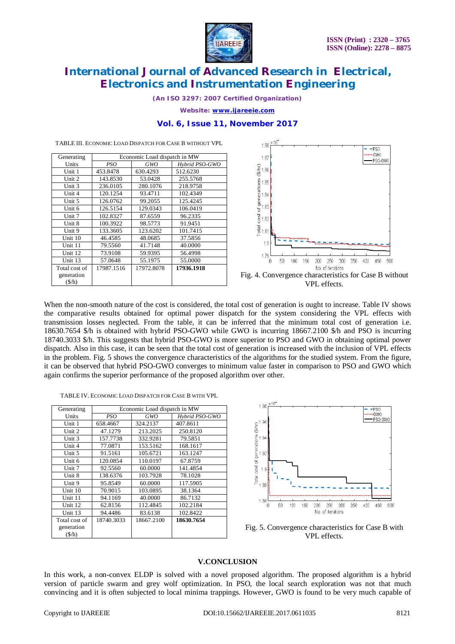

*(An ISO 3297: 2007 Certified Organization)*

*Website: [www.ijareeie.com](http://www.ijareeie.com)*

#### **Vol. 6, Issue 11, November 2017**

| Generating | Economic Load dispatch in MW |            |                |
|------------|------------------------------|------------|----------------|
| Units      | PSO                          | <b>GWO</b> | Hybrid PSO-GWO |
| Unit 1     | 453.8478                     | 630.4293   | 512.6230       |
| Unit 2     | 143.8530                     | 53.0428    | 255.5768       |
| Unit 3     | 236.0105                     | 280.1076   | 218.9758       |
| Unit 4     | 120.1254                     | 93.4711    | 102.4349       |
| Unit 5     | 126.0762                     | 99.2055    | 125.4245       |
| Unit 6     | 126.5154                     | 129.0343   | 106.0419       |
| Unit 7     | 102.8327                     | 87.6559    | 96.2335        |
| Unit 8     | 100.3922                     | 98.5773    | 91.9451        |
| Unit 9     | 133.3605                     | 123.6202   | 101.7415       |
| Unit 10    | 46.4585                      | 48.0685    | 37.5856        |
| Unit 11    | 79.5560                      | 41.7148    | 40.0000        |
| Unit 12    | 73.9108                      | 59.9395    | 56.4998        |
| Unit $13$  | 57.0648                      | 55.1975    | 55.0000        |

17987.1516 17972.8078 **17936.1918**

TABLE III. ECONOMIC LOAD DISPATCH FOR CASE B WITHOUT VPL



VPL effects.

When the non-smooth nature of the cost is considered, the total cost of generation is ought to increase. Table IV shows the comparative results obtained for optimal power dispatch for the system considering the VPL effects with transmission losses neglected. From the table, it can be inferred that the minimum total cost of generation i.e. 18630.7654 \$/h is obtained with hybrid PSO-GWO while GWO is incurring 18667.2100 \$/h and PSO is incurring 18740.3033 \$/h. This suggests that hybrid PSO-GWO is more superior to PSO and GWO in obtaining optimal power dispatch. Also in this case, it can be seen that the total cost of generation is increased with the inclusion of VPL effects in the problem. Fig. 5 shows the convergence characteristics of the algorithms for the studied system. From the figure, it can be observed that hybrid PSO-GWO converges to minimum value faster in comparison to PSO and GWO which again confirms the superior performance of the proposed algorithm over other.

TABLE IV. ECONOMIC LOAD DISPATCH FOR CASE B WITH VPL

| Generating    | Economic Load dispatch in MW |            |                |
|---------------|------------------------------|------------|----------------|
| Units         | PSO <sup>-</sup>             | GWO        | Hybrid PSO-GWO |
| Unit 1        | 658.4667                     | 324.2137   | 407.8611       |
| Unit 2        | 47.1279                      | 213.2025   | 250.8120       |
| Unit 3        | 157.7738                     | 332.9281   | 79.5851        |
| Unit 4        | 77.0871                      | 153.5162   | 168.1617       |
| Unit 5        | 91.5161                      | 105.6721   | 163.1247       |
| Unit 6        | 120.0854                     | 110.0197   | 67.8759        |
| Unit 7        | 92.5560                      | 60.0000    | 141.4854       |
| Unit 8        | 138.6376                     | 103.7928   | 78.1028        |
| Unit 9        | 95.8549                      | 60.0000    | 117.5905       |
| Unit $10$     | 70.9015                      | 103.0895   | 38.1364        |
| Unit 11       | 94.1169                      | 40.0000    | 86.7132        |
| Unit 12       | 62.8156                      | 112.4845   | 102.2184       |
| Unit 13       | 94.4486                      | 83.6138    | 102.8422       |
| Total cost of | 18740.3033                   | 18667.2100 | 18630.7654     |
| generation    |                              |            |                |
| (S/h)         |                              |            |                |

![](_page_7_Figure_12.jpeg)

Fig. 5. Convergence characteristics for Case B with VPL effects.

#### **V.CONCLUSION**

In this work, a non-convex ELDP is solved with a novel proposed algorithm. The proposed algorithm is a hybrid version of particle swarm and grey wolf optimization. In PSO, the local search exploration was not that much convincing and it is often subjected to local minima trappings. However, GWO is found to be very much capable of

Total cost of generation (\$/h)